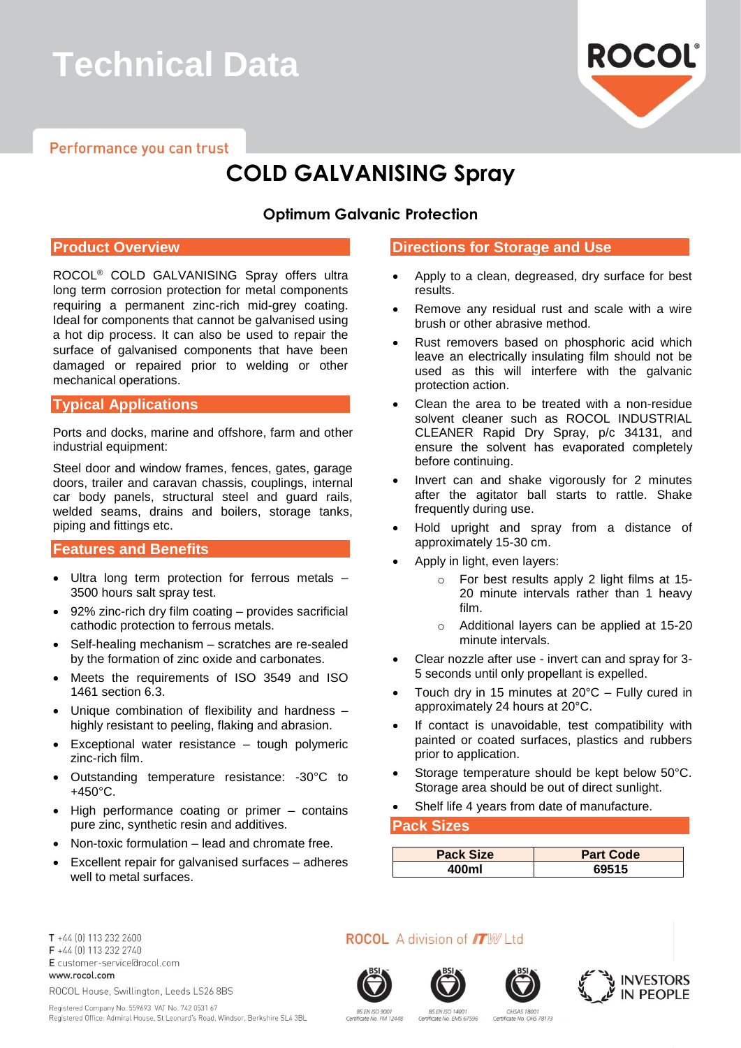# **Technical Data**

Performance you can trust

# **ROCOL**

## **COLD GALVANISING Spray**

#### **Optimum Galvanic Protection**

#### **Product Overview**

ROCOL® COLD GALVANISING Spray offers ultra long term corrosion protection for metal components requiring a permanent zinc-rich mid-grey coating. Ideal for components that cannot be galvanised using a hot dip process. It can also be used to repair the surface of galvanised components that have been damaged or repaired prior to welding or other mechanical operations.

#### **Typical Applications**

Ports and docks, marine and offshore, farm and other industrial equipment:

Steel door and window frames, fences, gates, garage doors, trailer and caravan chassis, couplings, internal car body panels, structural steel and guard rails, welded seams, drains and boilers, storage tanks, piping and fittings etc.

#### **Features and Benefits**

- Ultra long term protection for ferrous metals 3500 hours salt spray test.
- 92% zinc-rich dry film coating provides sacrificial cathodic protection to ferrous metals.
- Self-healing mechanism scratches are re-sealed by the formation of zinc oxide and carbonates.
- Meets the requirements of ISO 3549 and ISO 1461 section 6.3.
- Unique combination of flexibility and hardness highly resistant to peeling, flaking and abrasion.
- Exceptional water resistance tough polymeric zinc-rich film.
- Outstanding temperature resistance: -30°C to +450°C.
- High performance coating or primer contains pure zinc, synthetic resin and additives.
- Non-toxic formulation lead and chromate free.
- Excellent repair for galvanised surfaces adheres well to metal surfaces.

#### **Directions for Storage and Use**

- Apply to a clean, degreased, dry surface for best results.
- Remove any residual rust and scale with a wire brush or other abrasive method.
- Rust removers based on phosphoric acid which leave an electrically insulating film should not be used as this will interfere with the galvanic protection action.
- Clean the area to be treated with a non-residue solvent cleaner such as ROCOL INDUSTRIAL CLEANER Rapid Dry Spray, p/c 34131, and ensure the solvent has evaporated completely before continuing.
- Invert can and shake vigorously for 2 minutes after the agitator ball starts to rattle. Shake frequently during use.
- Hold upright and spray from a distance of approximately 15-30 cm.
- Apply in light, even layers:
	- o For best results apply 2 light films at 15- 20 minute intervals rather than 1 heavy film.
	- o Additional layers can be applied at 15-20 minute intervals.
- Clear nozzle after use invert can and spray for 3- 5 seconds until only propellant is expelled.
- Touch dry in 15 minutes at  $20^{\circ}$ C Fully cured in approximately 24 hours at 20°C.
- If contact is unavoidable, test compatibility with painted or coated surfaces, plastics and rubbers prior to application.
- Storage temperature should be kept below 50°C. Storage area should be out of direct sunlight.
- Shelf life 4 years from date of manufacture.

#### **Pack Sizes**

| <b>Pack Size</b> | <b>Part Code</b> |
|------------------|------------------|
| 400ml            | 69515            |

T +44 [0] 113 232 2600 F +44 (0) 113 232 2740 E customer-service@rocol.com www.rocol.com

ROCOL House, Swillington, Leeds LS26 8BS

Registered Company No. 559693 VAT No. 742 0531 67 Registered Office: Admiral House, St Leonard's Road, Windsor, Berkshire SL4 3BL **ROCOL** A division of **ITW** Ltd









BS EN ISO 900 cate No. FM 12448

**BS EN ISO 14001** Certificate No. EMS 67596

**OHSAS 1800** Certificate No. OHS 78173